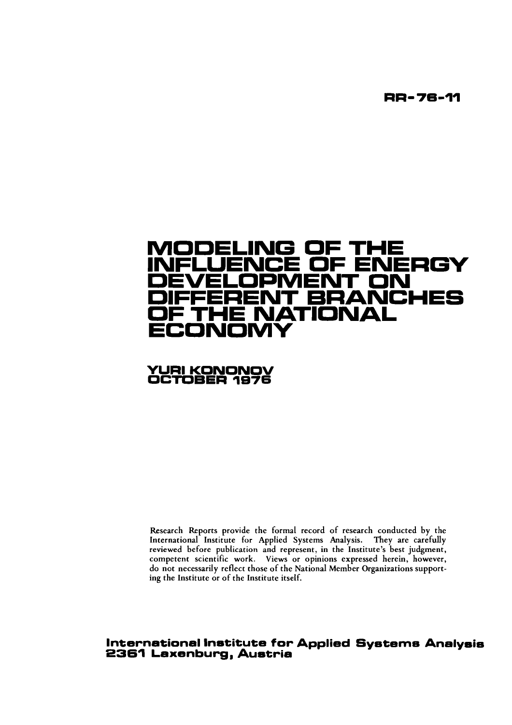**RR- 76-11** 

# ODELING OF TH<br>ELLIENCE OF EN ERGY **DEVELOPMENT ON**  ANCHES **OF THE NATIONAL ECONOMY**

## **YURl KONONOV OCTOBER 1876**

Research Reports provide the formal record of research conducted by the International Institute for Applied Systems Analysis. They are carefully reviewed before publication and represent, in the Institute's best judgment, competent scientific work. Views or opinions expressed herein, however, do not necessarily reflect those of the National Member Organizations supporting the Institute or of the Institute itself.

## **International Institute for Applied Systems Analysis 2361 Laxenburg, Austria**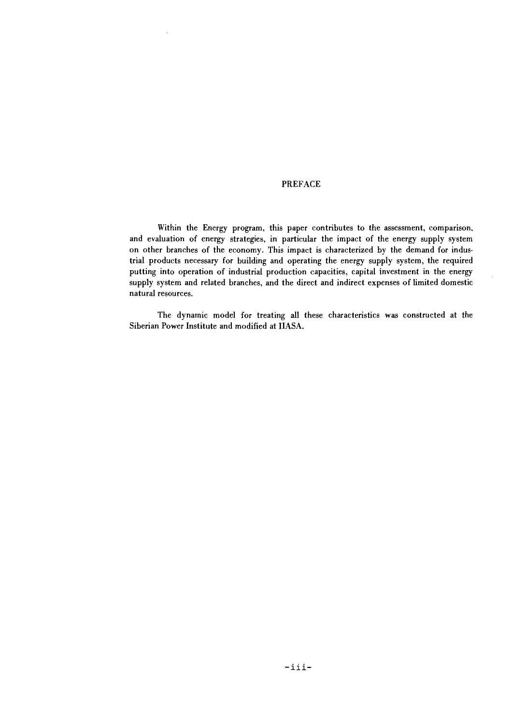#### PREFACE

Within the Energy program, this paper contributes to the assessment, comparison. and evaluation of energy strategies, in particular the impact of the energy supply system on other branches of the economy. This impact is characterized by the demand for industrial products necessary for building and operating the energy supply system, the required putting into operation of industrial production capacities, capital investment in the energy supply system and related branches, and the direct and indirect expenses of limited domestic natural resources.

The dynamic model for treating **all** these characteristics was constructed at the Siberian Power Institute and modified at IIASA.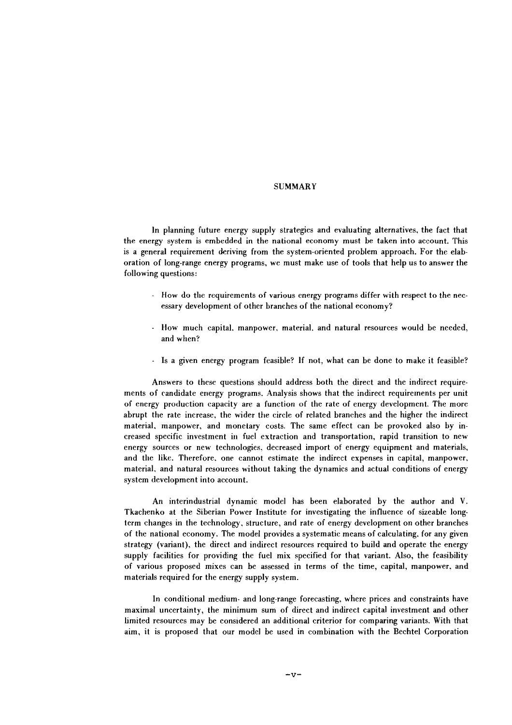### **SUMMARY**

In planning future energy supply strategies and evaluating alternatives. the fact that the energy system is embedded in the national economy must be taken into account. This is a general requirement deriving from the system-oriented problem approach. For the elaboration of long-range energy programs, we must make use of tools that help us to answer the following questions:

- How do the requirements of various energy programs differ with respect to the necessary development of other branches of the national economy?
- How much capital. manpower, material. and natural resources would be needed, and when?
- Is a given energy program feasible? If not, what can be done to make it feasible?

Answers to these questions should address both the direct and the indirect requirements of candidate energy programs. Analysis shows that the indirect requirements per unit of energy production capacity are a function of the rate of energy development. The more abrupt the rate increase. the wider the circle of related branches and the higher the indirect material. manpower. and monetary costs. The same effect can be provoked also by increased specific investment in fuel extraction and transportation, rapid transition to new energy sources or new technologies, decreased import of energy equipment and materials, and the like. Thrrefore. one cannot estimate the indirect expenses in capital, manpower. material. and natural resources without taking the dynamics and actual conditions of energy system development into account.

An interindustrial dynamic model has been elaborated by the author and V. Tkachenko at the Siberian Power Institute for investigating the influence of sizeable longterm changes in the technology. structure, and rate of energy development on other branches of the national economy. The model provides a systematic means of calculating. for any given strategy (variant). the direct and indirect resources required to build and operate the energy supply facilities for providing the fuel mix specified for that variant. Also, the feasibility of various proposed mixes can be assessed in terms of the time, capital. manpower. and materials required for the energy supply system.

In conditional medium- and long-range forecasting. where prices and constraints have maximal uncertainty, the minimum sum of direct and indirect capital investment and other limited resources may be considered an additional criterior for comparing variants. With that aim, it is proposed that our model be used in combination with the Bechtel Corporation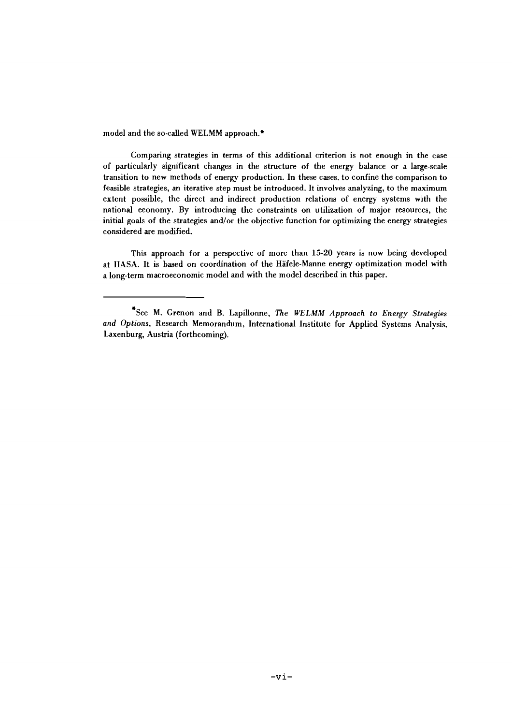model and the so-called WELMM approach.\*

Comparing strategies in terms of this additional criterion is not enough in the case of particularly significant changes in the structure of the energy balance or a large-scale transition to new methods of energy production. In these cases. to confine the comparison to feasible strategies, an iterative step must be introduced. It involves analyzing, to the maximum extent possible, the direct and indirect production relations of energy systems with the national economy. By introducing the constraints on utilization of major resources, the initial goals of the strategies and/or the objective function for optimizing the energy strategies considered are modified.

This approach for a perspective of more than 15-20 years is now being developed at IIASA. It is based on coordination of the Hafele-Manne energy optimization model with a long-term macroeconomic model and with the model described in this paper.

<sup>&#</sup>x27;see M. Grenon and B. Lapillonne, The WELMM Approach to Energy Strategies and Options, Research Memorandum, International Institute for Applied Systems Analysis. Laxenburg, Austria (forthcoming).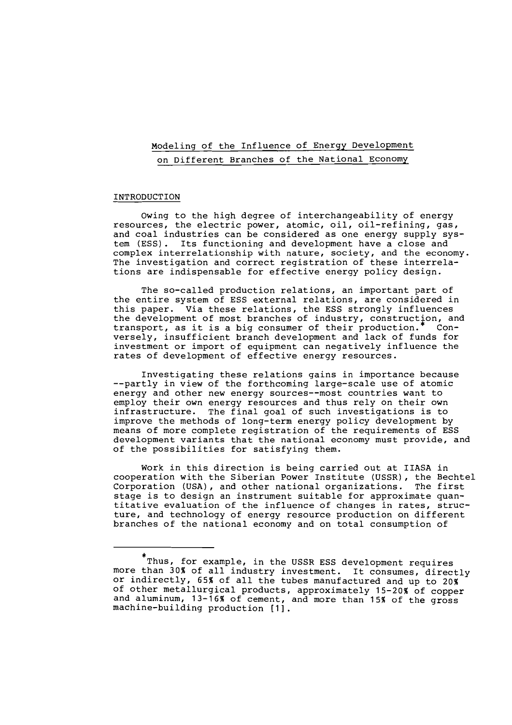## Modeling of the Influence of Energy Development on Different Branches of the National Economy

#### INTRODUCTION

Owing to the high degree of interchangeability of energy resources, the electric power, atomic, oil, oil-refining, gas, and coal industries can be considered as one energy supply sys-<br>tem (ESS). Its functioning and development have a close and Its functioning and development have a close and complex interrelationship with nature, society, and the economy. The investigation and correct registration of these interrelations are indispensable for effective energy policy design.

The so-called production relations, an important part of the entire system of ESS external relations, are considered in this paper. Via these relations, the ESS strongly influences the development of most branches of industry, construction, and<br>transport, as it is a big consumer of their production.\* Con $transport, as it is a big consumer of their production.$ versely, insufficient branch development and lack of funds for investment or import of equipment can negatively influence the rates of development of effective energy resources.

Investigating these relations gains in importance because --partly in view of the forthcoming large-scale use of atomic energy and other new energy sources--most countries want to employ their own energy resources and thus rely on their own infrastructure. The final goal of such investigations is to<br>improve the methods of long-term energy policy development by means of more complete registration of the requirements of ESS development variants that the national economy must provide, and of the possibilities for satisfying them.

Work in this direction is being carried out at IIASA in cooperation with the Siberian Power Institute (USSR), the Bechtel Corporation (USA), and other national organizations. The first stage is to design an instrument suitable for approximate quantitative evaluation of the influence of changes in rates, structure, and technology of energy resource production on different branches of the national economy and on total consumption of

<sup>\*</sup>  Thus, for example, in the USSR ESS development requires more than 30% of all industry investment. It consumes, directly or indirectly, 65% of all the tubes manufactured and up to 20% of other metallurgical products, approximately 15-20% of copper and aluminum, 13-16% of cement, and more than 15% of the gross machine-building production [I].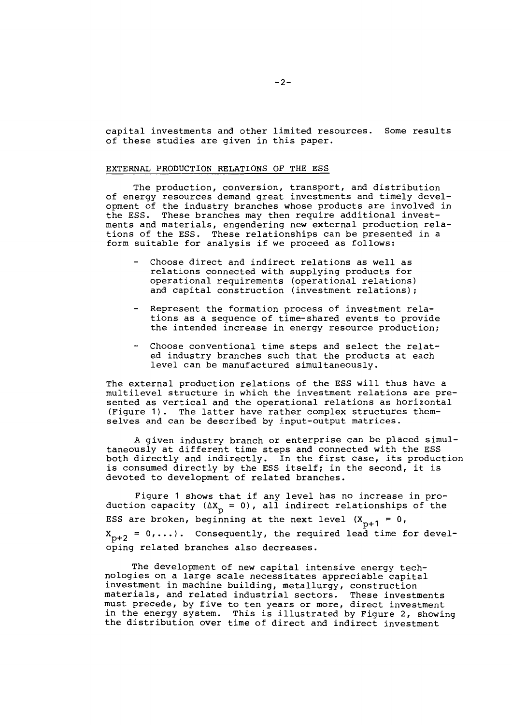capital investments and other limited resources. Some results of these studies are given in this paper.

#### EXTERNAL PRODUCTION RELATIONS OF THE ESS

The production, conversion, transport, and distribution of energy resources demand great investments and timely development of the industry branches whose products are involved in the ESS. These branches may then require additional investments and materials, engendering new external production relations of the ESS. These relationships can be presented in a form suitable for analysis if we proceed as follows:

- Choose direct and indirect relations as well as relations connected with supplying products for operational requirements (operational relations) and capital construction (investment relations) ;
- Represent the formation process of investment relations as a sequence of time-shared events to provide the intended increase in energy resource production;
- Choose conventional time steps and select the related industry branches such that the products at each level can be manufactured simultaneously.

The external production relations of the ESS will thus have a multilevel structure in which the investment relations are presented as vertical and the operational relations as horizontal (Figure 1). The latter have rather complex structures themselves and can be described by input-output matrices.

A given industry branch or enterprise can be placed simultaneously at different time steps and connected with the ESS both directly and indirectly. In the first case, its production both directly and indirectly. In the first case, its product<br>is consumed directly by the ESS itself; in the second, it is<br>devoted to development of related branches.

Figure 1 shows that if any level has no increase in production capacity  $(\Delta X_{\text{p}} = 0)$ , all indirect relationships of the ESS are broken, beginning at the next level  $(X_{n+1} = 0,$  $X_{p+2} = 0, \ldots$ ). Consequently, the required lead time for developing related branches also decreases.

The development of new capital intensive energy technologies on a large scale necessitates appreciable capital investment in machine building, metallurgy, construction materials, and related industrial sectors. These investments must precede, by five to ten years or more, direct investment in the energy system. This is illustrated by Figure 2, showing the distribution over time of direct and indirect investment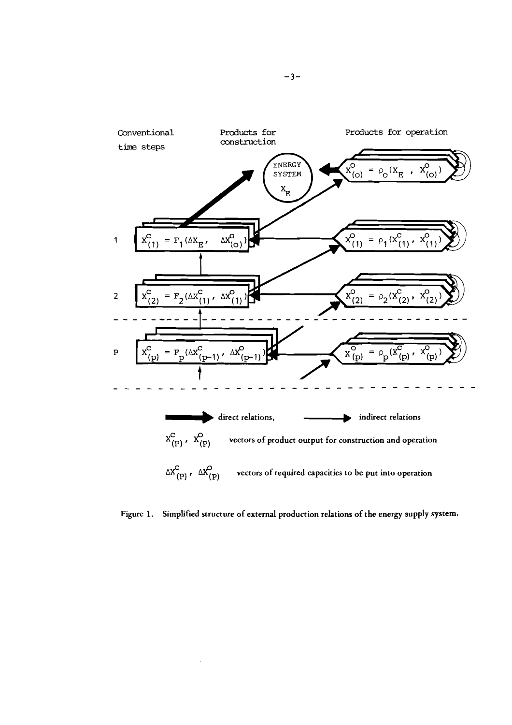

**Figure 1. Simplified structure of external production relations of the energy supply system.**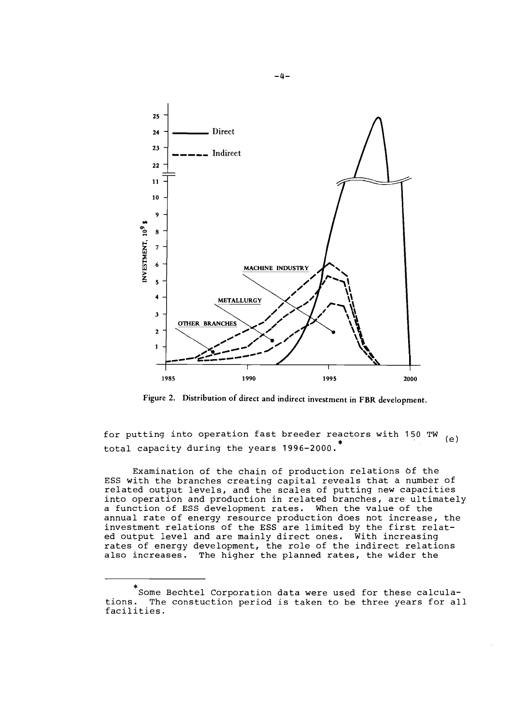

**Figure 2. Distribution of direct and indirect investment in FBR development.** 

for putting into operation fast breeder reactors with 150 TW  $_{(e)}$ <br>total capacity during the years 1996-2000.<sup>\*</sup>

Examination of the chain of production relations of the ESS with the branches creating capital reveals that a number of related output levels, and the scales of putting new capacities into operation and production in related branches, are ultimately a function of ESS development rates. When the value of the annual rate of energy resource production does not increase, the investment relations of the ESS are limited by the first related output level and are mainly direct ones. With increasing rates of energy development, the role of the indirect relations also increases. The higher the planned rates, the wider the

<sup>\*</sup>  Some Bechtel Corporation data were used for these calculations. The constuction period is taken to be three years for all facilities.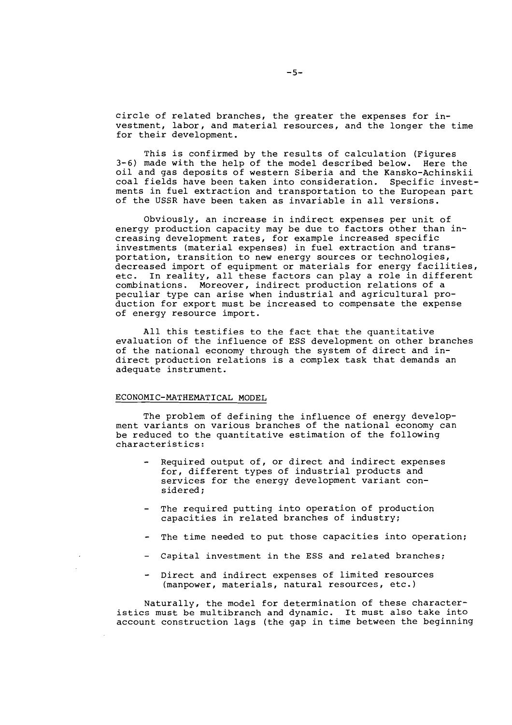circle of related branches, the greater the expenses for investment, labor, and material resources, and the longer the time for their development.

This is confirmed by the results of calculation (Figures **3-6)** made with the help of the model described below. Here the oil and gas deposits of western Siberia and the Kansko-Achinskii coal fields have been taken into consideration. Specific investments in fuel extraction and transportation to the European part of the USSR have been taken as invariable in all versions.

Obviously, an increase in indirect expenses per unit of energy production capacity may be due to factors other than increasing development rates, for example increased specific investments (material expenses) in fuel extraction and transportation, transition to new energy sources or technologies, decreased import of equipment or materials for energy facilities, etc. In reality, all these factors can play a role in different combinations. Moreover, indirect production relations of a peculiar type can arise when industrial and agricultural production for export must be increased to compensate the expense of energy resource import.

All this testifies to the fact that the quantitative evaluation of the influence of ESS development on other branches of the national economy through the system of direct and indirect production relations is a complex task that demands an adequate instrument.

#### ECONOMIC-MATHEMATICAL MODEL

The problem of defining the influence of energy development variants on various branches of the national economy can be reduced to the quantitative estimation of the following characteristics:

- Required output of, or direct and indirect expenses for, different types of industrial products and services for the energy development variant considered;
- The required putting into operation of production capacities in related branches of industry;
- The time needed to put those capacities into operation;
- Capital investment in the ESS and related branches;
- Direct and indirect expenses of limited resources (manpower, materials, natural resources, etc.)

Naturally, the model for determination of these characteristics must be multibranch and dynamic. It must also take into account construction lags (the gap in time between the beginning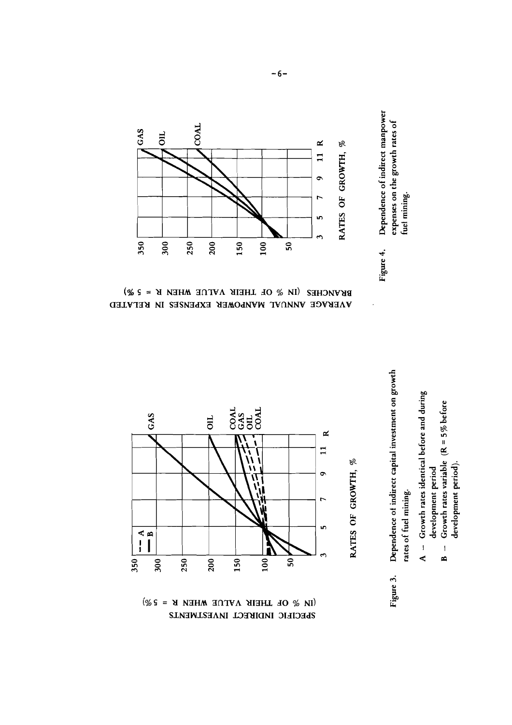





(N % OF THEIR VALUE WHEN R = 5%) SLECIEIC IMDIFFECT INAESLWENLS

Dependence of indirect capital investment on growth rates of fuel mining. Figure 3.

- Growth rates identical before and during development period  $\frac{1}{\mathbf{A}}$ 
	- Growth rates variable  $(R = 5\%$  before development period).  $\overline{1}$ Ä

Dependence of indirect manpower expenses on the growth rates of<br>fuel mining. Figure 4.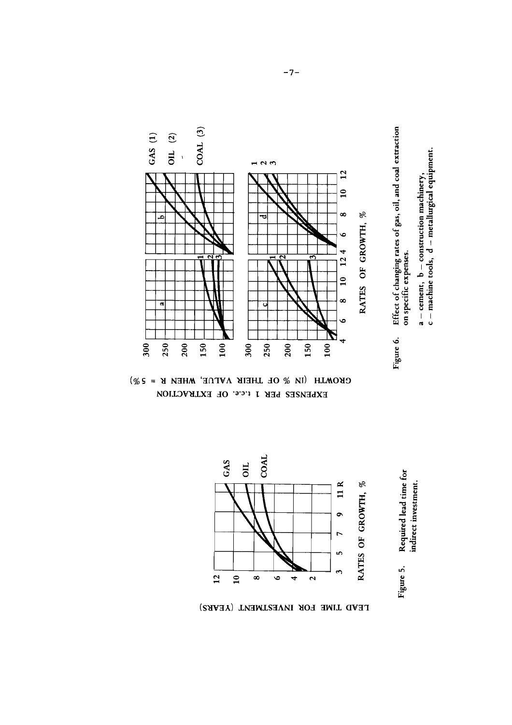

GROWTH (IN  $\%$  OF THEIR VALUE, WHEN R = 5 $\%$ ) EXPENSES PER 1 t.c.e. OF EXTRACTION



LEAD TIME FOR INVESTMENT (YEARS)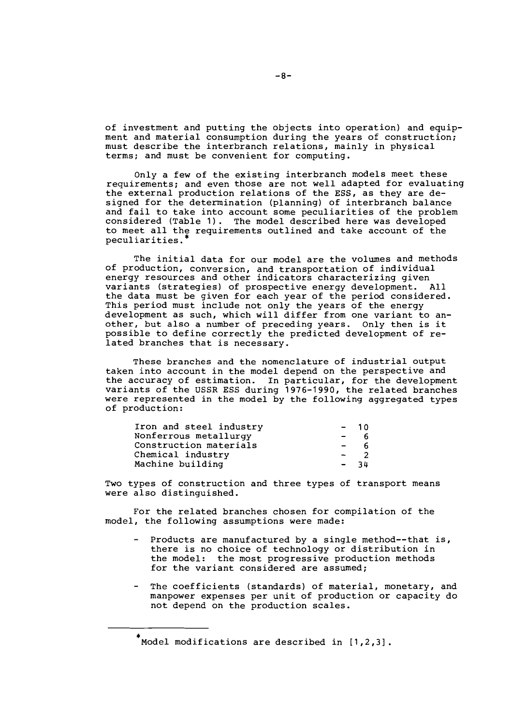of investment and putting the objects into operation) and equipment and material consumption during the years of construction; must describe the interbranch relations, mainly in physical terms; and must be convenient for computing.

Only a few of the existing interbranch models meet these requirements; and even those are not well adapted for evaluating the external production relations of the ESS, as they are designed for the determination (planning) of interbranch balance and fail to take into account some peculiarities of the problem considered (Table 1). The model described here was developed to meet all the requirements outlined and take account of the peculiarities. \*

The initial data for our model are the volumes and methods of production, conversion, and transportation of individual energy resources and other indicators characterizing given variants (strategies) of prospective energy development. All the data must be given for each year of the period considered. This period must include not only the years of the energy development as such, which will differ from one variant to an-<br>other, but also a number of preceding years. Only then is it possible to define correctly the predicted development of re- lated branches that is necessary.

These branches and the nomenclature of industrial output taken into account in the model depend on the perspective and the accuracy of estimation. In particular, for the development<br>variants of the USSR ESS during 1976-1990, the related branches were represented in the model by the following aggregated types of production:

| Iron and steel industry | $-10$  |      |
|-------------------------|--------|------|
| Nonferrous metallurgy   | $\sim$ |      |
| Construction materials  | $\sim$ | Б    |
| Chemical industry       | $\sim$ |      |
| Machine building        | $\sim$ | - 34 |

Two types of construction and three types of transport means were also distinguished.

For the related branches chosen for compilation of the model, the following assumptions were made:

- Products are manufactured by a single method--that is, there is no choice of technology or distribution in the model: the most progressive production methods for the variant considered are assumed;
- The coefficients (standards) of material, monetary, and manpower expenses per unit of production or capacity do not depend on the production scales.

\* Model modifications are described in [1,2,3].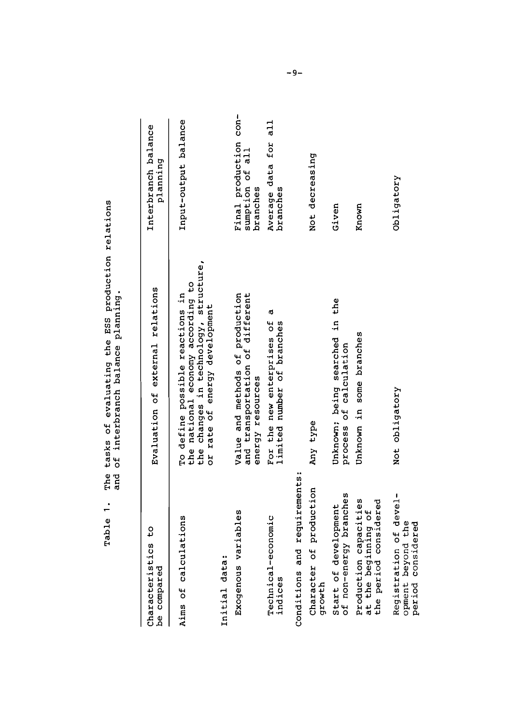Table 1. The tasks of evaluating the ESS production relations The tasks of evaluating the ESS production relations<br>and of interbranch balance planning. and of interbranch balance planning. Table 1.

| cs to<br>Characteristi<br>be compared                                                | Evaluation of external relations                                                                                                               | Interbranch balance<br>planning                      |
|--------------------------------------------------------------------------------------|------------------------------------------------------------------------------------------------------------------------------------------------|------------------------------------------------------|
| Aims of calculations                                                                 | the changes in technology, structure,<br>the national economy according to<br>To define possible reactions in<br>or rate of energy development | Input-output balance                                 |
| Initial data:                                                                        |                                                                                                                                                |                                                      |
| Exogenous variables                                                                  | Value and methods of production<br>and transportation of different<br>energy resources                                                         | Final production con-<br>sumption of all<br>branches |
| Technical-economic<br>indices                                                        | ٢Ó<br>For the new enterprises of<br>limited number of branches                                                                                 | Average data for all<br>branches                     |
| Conditions and requirements:                                                         |                                                                                                                                                |                                                      |
| production<br>Character of<br>growth                                                 | Any type                                                                                                                                       | Not decreasing                                       |
| Start of development<br>of non-energy branches                                       | Unknown; being searched in the<br>process of calculation                                                                                       | Given                                                |
| capacities<br>considered<br>at the beginning of<br>the period consider<br>Production | Unknown in some branches                                                                                                                       | Known                                                |
| Registration of devel-<br>opment beyond the<br>period considered                     | Not obligatory                                                                                                                                 | Obligatory                                           |

 $-9-$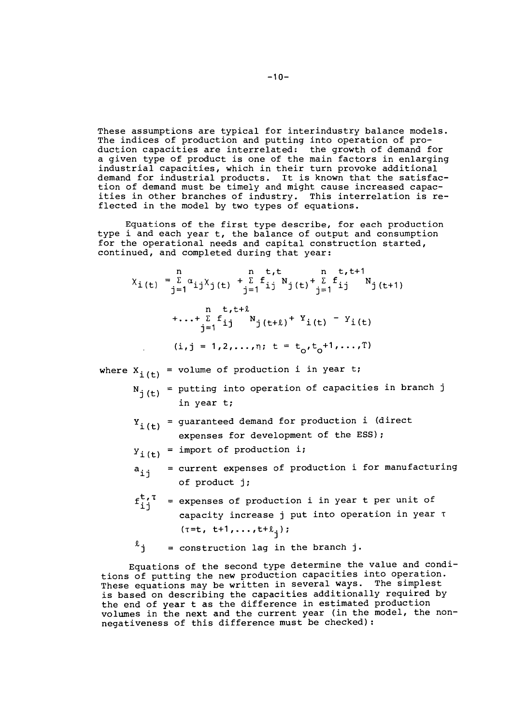These assumptions are typical for interindustry balance models. The indices of production and putting into operation of production capacities are interrelated: the growth of demand for a given type of product is one of the main factors in enlarging industrial capacities, which in their turn provoke additional demand for industrial products. It is known that the satisfaction of demand must be timely and might cause increased capacities in other branches of industry. This interrelation is reflected in the model by two types of equations.

Equations of the first type describe, for each production type i and each year t, the balance of output and consumption for the operational needs and capital construction started, continued, and completed during that year:

 $X_{i}(t) = \sum_{j=1}^{n} \alpha_{ij} X_{j}(t) + \sum_{j=1}^{n} f_{ij} N_{j}(t) + \sum_{j=1}^{n} f_{ij} N_{j}(t+1)$ 

 $+...+\sum_{j=1}^{n} f_{ij}^{t,t+\ell} N_{j(t+\ell)}^{t+Y_{i(t)}} - Y_{i(t)}$  $(i, j = 1, 2, ..., n; t = t_0, t_0+1, ..., T)$ 

where  $X_{j(t)}$  = volume of production i in year t;

- $N_{j(t)}$  = putting into operation of capacities in branch j in year t;
- $Y_i(t)$  = guaranteed demand for production i (direct expenses for development of the ESS);

 $Y_{i(t)}$  = import of production i;

- $a_{i,j}$  = current expenses of production i for manufacturing of product j;
- $f_{i,j}^{t,\tau}$  = expenses of production i in year t per unit of capacity increase j put into operation in year T  $(T=t, t+1, \ldots, t+\ell_1);$

 $\ell_j$  = construction lag in the branch j.

Equations of the second type determine the value and conditions of putting the new production capacities into operation. These equations may be written in several ways. The simplest is based on describing the capacities additionally required by Is based on describing the capacities additionally required  $\Sigma_f$ <br>the end of year t as the difference in estimated production<br>volumes in the next and the current year (in the model, the nonnegativeness of this difference must be checked):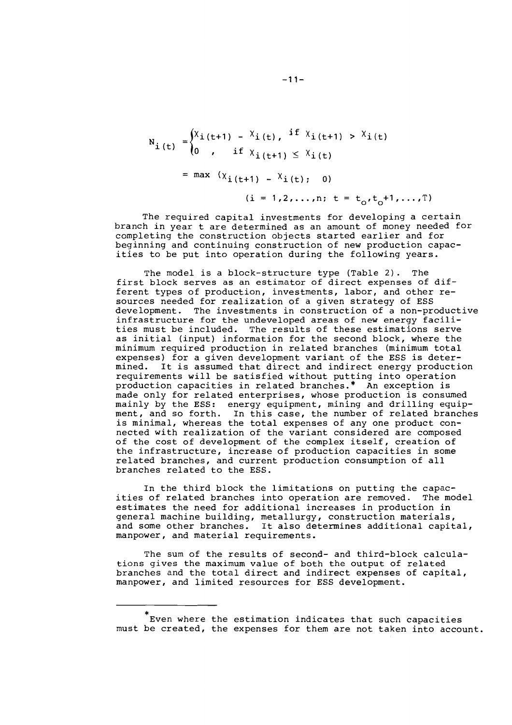$$
N_{i (t)} =\begin{cases} X_{i (t+1)} - X_{i (t)}, & if X_{i (t+1)} > X_{i (t)} \\ 0, & if X_{i (t+1)} \le X_{i (t)} \end{cases}
$$
  
= max  $(X_{i (t+1)} - X_{i (t)}, 0)$   
(i = 1, 2, ..., n; t = t, t+1, ...

The required capital investments for developing a certain branch in year t are determined as an amount of money needed for completing the construction objects started earlier and for beginning and continuing construction of new production capacities to be put into operation during the following years.

 $\ldots$  T)

The model is a block-structure type (Table 2). The first block serves as an estimator of direct expenses of dif-<br>ferent types of production, investments, labor, and other resources needed for realization of a given strategy of ESS development. The investments in construction of a non-productive infrastructure for the undeveloped areas of new energy facili-<br>ties must be included. The results of these estimations serve ties must be included. The results of these estimations serve as initial (input) information for the second block, where the minimum required production in related branches (minimum total expenses) for a given development variant of the ESS is determined. It is assumed that direct and indirect energy production requirements will be satisfied without putting into operation production capacities in related branches.\* An exception is made only for related enterprises, whose production is consumed mainly by the ESS: energy equipment, mining and drilling equipment, and so forth. In this case, the number of related branches is minimal, whereas the total expenses of any one product connected with realization of the variant considered are composed of the cost of development of the complex itself, creation of the infrastructure, increase of production capacities in some related branches, and current production consumption of all branches related to the ESS.

In the third block the limitations on putting the capacities of related branches into operation are removed. The model estimates the need for additional increases in production in general machine building, metallurgy, construction materials, and some other branches. It also determines additional capital, manpower, and material requirements.

The sum of the results of second- and third-block calculations gives the maximum value of both the output of related branches and the total direct and indirect expenses of capital, manpower, and limited resources for ESS development.

 $\mathbf \tilde{r}$  even where the estimation indicates that such capacities must be created, the expenses for them are not taken into account.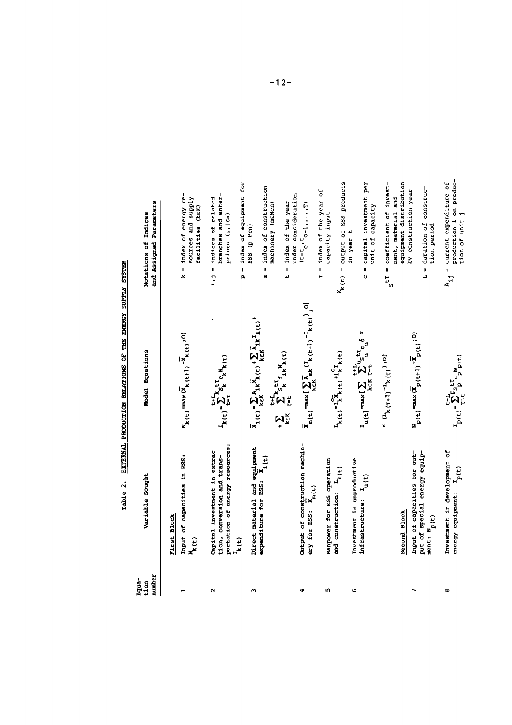| <b>EASAS</b>                                |
|---------------------------------------------|
|                                             |
| <b>ATERGY SUPPLY</b>                        |
|                                             |
|                                             |
|                                             |
| <b>TERNAL PRODUCTION RELATIONS OF THE I</b> |
|                                             |
| ر<br>1e<br>î                                |

| Equa-                |                                                                                |                                                                                                                                                                                                          |                                                              |
|----------------------|--------------------------------------------------------------------------------|----------------------------------------------------------------------------------------------------------------------------------------------------------------------------------------------------------|--------------------------------------------------------------|
| tion                 | Variable Sought                                                                | Model Equations                                                                                                                                                                                          | Notations of Indices                                         |
| number               |                                                                                |                                                                                                                                                                                                          | and Assigned Parameters                                      |
|                      | <b>First Block</b>                                                             |                                                                                                                                                                                                          |                                                              |
|                      | Input of capacities in ESS:                                                    | $\boldsymbol{N}_{k\,(t)}\text{ =}\text{max}(\boldsymbol{\bar{X}}_{k\,(t+1)}\boldsymbol{-\bar{X}}_{k\,(t)}\text{ ; }0)$                                                                                   | $k = 1$ ndex of energy re-                                   |
|                      | $\mathbf{N}_{\mathbf{k}}(\mathbf{t})$                                          |                                                                                                                                                                                                          | sources and supply<br>facilities (KEK)                       |
| $\mathbf{\tilde{c}}$ | Capital investment in extrac-                                                  |                                                                                                                                                                                                          | $i, j = 1ndices$ of related                                  |
|                      | tion, conversion and trans-                                                    | $I_{k}(t) = \sum_{i=1}^{t+1} s_{k}^{t} c_{k} N_{k}(t)$                                                                                                                                                   | branches and enter-                                          |
|                      | portation of energy resources:<br>$\mathbf{x}(\mathbf{t})$                     |                                                                                                                                                                                                          | prises (i,jm)                                                |
|                      |                                                                                |                                                                                                                                                                                                          | $p = 1$ ndex of equipment for                                |
| m                    | Direct material and equipment<br>expenditure for ESS:                          | $\overline{x}_1(e) = \sum_{k \in K} A_{1k} \overline{x}_k(e) + \sum_{k \in K} \overline{x}_{1k} \overline{x}_k(e) +$                                                                                     | ESS (p Pcn)                                                  |
|                      | $x_{1(t)}$                                                                     |                                                                                                                                                                                                          | index of construction<br>u<br>Ø                              |
|                      |                                                                                | + $\sum_{k \in K} \sum_{\tau = t}^{t+\Gamma_k} s_k^{\tau \tau} \epsilon_{1k} w_k(\tau)$                                                                                                                  | machinery (meMcn)                                            |
|                      |                                                                                |                                                                                                                                                                                                          | $t = 1$ ndex of the year                                     |
|                      |                                                                                |                                                                                                                                                                                                          | under consideration                                          |
|                      | Output of construction machin-<br>$\mathbf{x}_{\mathbf{n(t)}}$<br>ery for ESS: | $\overline{X}_{m}(t)=\max\bigl(\sum_{k\in\mathcal{K}}\overline{A}_{mk}\left({\rm I}_{k\,(t+1)}-{\rm I}_{k\,(t)}\right),0\bigr)$                                                                          | $(t=t_0, t_{0+1}, \ldots, T)$                                |
|                      |                                                                                |                                                                                                                                                                                                          | $t =$ index of the year of                                   |
| ĸ٦                   | Manpower for ESS operation                                                     |                                                                                                                                                                                                          | capacity input                                               |
|                      | and construction: $L_{k(t)}$                                                   | $\mathbf{L}_{\mathbf{k}}(\mathbf{t}) = \mathbf{L}_{\mathbf{k}}^2 \mathbf{\bar{k}}_{\mathbf{k}}(\mathbf{t}) + \mathbf{L}_{\mathbf{k}}^2 \mathbf{I}_{\mathbf{k}}(\mathbf{t})$                              | $\overline{X}_k(t)$ = output of ESS products                 |
| G                    | Investment in unproductive                                                     |                                                                                                                                                                                                          | in year t                                                    |
|                      | $\mathbf{u}(\mathbf{t})$<br>infrastructure:                                    |                                                                                                                                                                                                          | = capital investment per<br>unit of capacity<br>U            |
|                      |                                                                                | $(1) + \frac{1}{2} \sum_{k=1}^{n} (1+1)^{k-1} k^{k} (1+1)$                                                                                                                                               | $s^{LT}$ = coefficient of invest-                            |
|                      |                                                                                |                                                                                                                                                                                                          | ment, material and                                           |
|                      | Second Block                                                                   |                                                                                                                                                                                                          | equipment distribution                                       |
|                      | Input of capacities for out-<br>put of special energy equip-                   | $\mathbf{N}_{\mathbf{p}}(\mathbf{t})$ = max $(\overline{\mathbf{X}}_{\mathbf{p}}(\mathbf{t+1}) - \overline{\mathbf{X}}_{\mathbf{p}}(\mathbf{t})$ ; 0)                                                    | by construction year                                         |
|                      | ment: $\mathbf{N}_{\text{p(t)}}$                                               |                                                                                                                                                                                                          | $L =$ duration of construc-<br>tion period                   |
| ω                    | Investment in development of<br>energy equipment: $I_p(t)$                     | $\begin{array}{l} \mathbf{r}^{\text{H}}_{\text{P}}(\mathbf{t}) = \sum_{\tau = 1}^{\tau + 1} \mathbf{P}^{\text{S}}_{\text{S}} \mathbf{r}^{\tau} \mathbf{r}^{\text{B}}_{\text{P}}(\mathbf{t}) \end{array}$ | production i on produc-<br>$A_{ij}$ = current expenditure of |
|                      |                                                                                |                                                                                                                                                                                                          | tion of unit j                                               |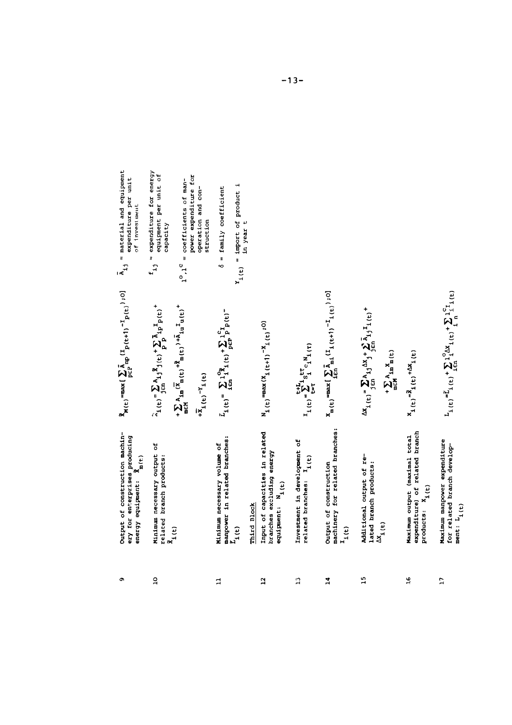| Output of construction machin-<br>ery for enterprises producing<br>$\begin{array}{ll}\n\mathbf{c}_{1} & \cdots & \mathbf{c}_{m} \\ \mathbf{c}_{m} & \mathbf{c}_{m} & \mathbf{c}_{m} \\ \mathbf{c}_{m} & \mathbf{c}_{m} & \mathbf{c}_{m} \\ \mathbf{c}_{m} & \mathbf{c}_{m} & \mathbf{c}_{m} \\ \mathbf{c}_{m} & \mathbf{c}_{m} & \mathbf{c}_{m} & \mathbf{c}_{m} \\ \mathbf{c}_{m} & \mathbf{c}_{m} & \mathbf{c}_{m} & \mathbf{c}_{m} & \mathbf{c}_{m} \\ \mathbf{c}_{m} & \mathbf{c}_{m} & \mathbf{c}_{m} & \$ | $\tilde{\textbf{X}}_{\textbf{M}\,(\textbf{t})}=\max\big(\sum_{p\in P}\tilde{\textbf{A}}_{\textbf{B}p}\left(\textbf{I}_{p}\left(\textbf{t+1}\right)^{-1}\textbf{p}\left(\textbf{t}\right)\right),o\big)$                                                                                                                                                          | $\bar{A}_{1j}$ = material and equipment<br>expenditure per unit<br>of investment |
|-----------------------------------------------------------------------------------------------------------------------------------------------------------------------------------------------------------------------------------------------------------------------------------------------------------------------------------------------------------------------------------------------------------------------------------------------------------------------------------------------------------------|------------------------------------------------------------------------------------------------------------------------------------------------------------------------------------------------------------------------------------------------------------------------------------------------------------------------------------------------------------------|----------------------------------------------------------------------------------|
| Minimum necessary output of<br>related branch products:                                                                                                                                                                                                                                                                                                                                                                                                                                                         | $\widetilde{\gamma}_1(\mathbf{t}) = \sum_{\mathbf{j} \in \mathbf{n}} A_{\mathbf{1},\mathbf{j}} \widetilde{\mathbf{x}}_{\mathbf{j}}(\mathbf{t}) + \sum_{\mathbf{p}} \widetilde{\mathbf{a}}_{\mathbf{j}} \mathbf{1}_{\mathbf{p}} \widetilde{\mathbf{p}}(\mathbf{t}) +$                                                                                             | $f_{1j}$ = expenditure for energy<br>equipment per unit of<br>capacity           |
| $\tilde{\textbf{x}}_{\textbf{i(t)}}$                                                                                                                                                                                                                                                                                                                                                                                                                                                                            | $+\sum_{\mathbf{m}\in\mathbb{M}}\lambda_{\mathbf{1}\mathbf{m}}\left(\overline{\mathbf{X}}_{\mathbf{m}}\left(\mathbf{t}\right)\right.\left.\left.\mathbf{t}\right.\mathbf{\hat{X}}_{\mathbf{m}}\left(\mathbf{t}\right)\right)\right.\\ \left.+\overline{\mathbf{X}}_{\mathbf{1}\mathbf{u}}\,\mathbf{1}_{\mathbf{u}}\left(\mathbf{t}\right)\right.^{\mathbf{+}}\\$ | power expenditure for<br>$1^\circ, 1^\circ$ = coefficients of man-               |
|                                                                                                                                                                                                                                                                                                                                                                                                                                                                                                                 | $+\overline{x}_1(t)^{-Y_1}(t)$                                                                                                                                                                                                                                                                                                                                   | operation and con-<br>struction                                                  |
| manpower in related branches:<br>Minimum necessary volume of<br>$\mathbf{r}_{i\text{(t)}}$                                                                                                                                                                                                                                                                                                                                                                                                                      | $\tilde{L}_1(t) = \sum_{i \in \mathbb{N}} l_1^{(2)} I_i(t) + \sum_{p \in \mathbb{P}} l_p^{(2)} p(t)$                                                                                                                                                                                                                                                             | $Y_1(t) = 1$ mport of product i<br>= family coefficient<br>40                    |
| Input of capacities in related<br>branches excluding energy<br>equipment: $N_{1(t)}$<br>Third Block                                                                                                                                                                                                                                                                                                                                                                                                             | $N_{1(t)} = \max(X_{1(t+1)} - X_{1(t+1)} - 0)$                                                                                                                                                                                                                                                                                                                   | in year t                                                                        |
| Investment in development of<br>$related$ branches: $I_{i(t)}$                                                                                                                                                                                                                                                                                                                                                                                                                                                  | $I_1(t) = \sum_{t=1}^{t+L_1} S_1^{tr} C_1 N_1(t)$                                                                                                                                                                                                                                                                                                                |                                                                                  |
| machinery for related branches:<br>Output of construction<br>$\mathbf{I}_{1(\mathbf{t})}$                                                                                                                                                                                                                                                                                                                                                                                                                       | $\textbf{X}_{\text{m}}(\textbf{t}) = \max\{\sum_{\textbf{i} \in \Omega}\sum_{\textbf{n} = 1}^{n}(\textbf{I}_{\textbf{i}}\left(\textbf{t+1}\right)^{-1}\textbf{I}_{\textbf{i}}\left(\textbf{t}\right)), 0\}$                                                                                                                                                      |                                                                                  |
| Additional output of re-<br>lated branch products:<br>${}^{\Delta \mathbf{X}}\!{}_{\mathbf{1}\,(\mathbf{t})}$                                                                                                                                                                                                                                                                                                                                                                                                   | $\Delta x_1(t_1) = \sum_{j \in \Omega} a_{1j} \Delta x_j + \sum_{j \in \Omega} a_{1j} I_1(t_1) +$<br>$\begin{array}{cccccc}\n+ & \sum_{n \in \mathbb{N}} A_1 \mathbf{m}^X \mathbf{m} \left( \mathbf{t} \right) \n\end{array}$                                                                                                                                    |                                                                                  |
| expenditure) of related branch<br>Maximum output (maximal total<br>$products: X_1(t)$                                                                                                                                                                                                                                                                                                                                                                                                                           | $x_1(t) = x_1(t) + 2x_1(t)$                                                                                                                                                                                                                                                                                                                                      |                                                                                  |
| Maximum manpower expenditure<br>for related branch develop-<br>ment: $L_{1(t)}$                                                                                                                                                                                                                                                                                                                                                                                                                                 | $L_{1}(e) = L_{1}(e) + \sum_{i \in \mathbb{N}} 1_i^0 \Delta x_{1}(e) + \sum_{i \in \mathbb{N}} 1_i^0 T_{1}(e)$                                                                                                                                                                                                                                                   |                                                                                  |

 $\frac{1}{2}$ 

 $\mathbf{r}$ 

 $\mathbf{r}$ 

 $\bullet$ 

 $15$ 

 $\mathfrak{s}_1$ 

 $\mathbf{L}$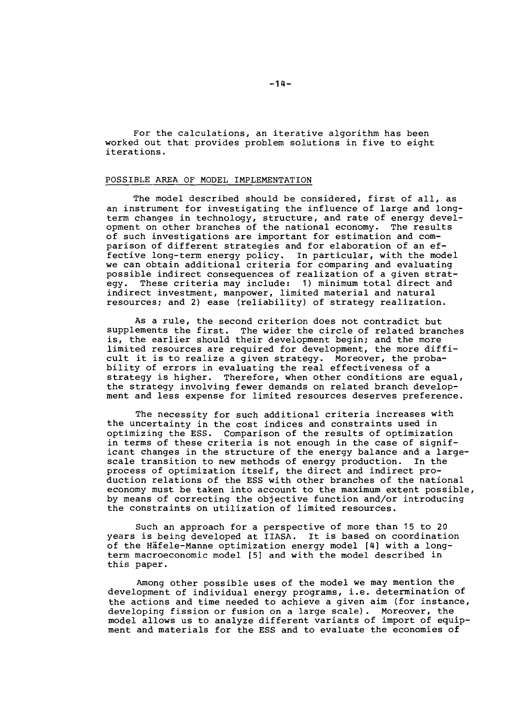For the calculations, an iterative algorithm has been worked out that provides problem solutions in five to eight iterations.

#### POSSIBLE AREA OF MODEL IMPLEMENTATION

The model described should be considered, first of all, as an instrument for investigating the influence of large and longterm changes in technology, structure, and rate of energy development on other branches of the national economy. The results of such investigations are important for estimation and comparison of different strategies and for elaboration of an effective long-term energy policy. In particular, with the model we can obtain additional criteria for comparing and evaluating possible indirect consequences of realization of a given strat-<br>egy. These criteria may include: 1) minimum total direct and These criteria may include: 1) minimum total direct and indirect investment, manpower, limited material and natural resources; and **2)** ease (reliability) of strategy realization.

As a rule, the second criterion does not contradict but supplements the first. The wider the circle of related branches is, the earlier should their development begin; and the more limited resources are required for development, the more difficult it is to realize a given strategy. Moreover, the probability of errors in evaluating the real effectiveness of a<br>strategy is higher. Therefore, when other conditions are Therefore, when other conditions are equal, the strategy involving fewer demands on related branch development and less expense for limited resources deserves preference.

The necessity for such additional criteria increases with the uncertainty in the cost indices and constraints used in optimizing the ESS. Comparison of the results of optimization in terms of these criteria is not enough in the case of significant changes in the structure of the energy balance and a large-<br>scale transition to new methods of energy production. In the scale transition to new methods of energy production. process of optimization itself, the direct and indirect production relations of the ESS with other branches of the national economy must be taken into account to the maximum extent possible, by means of correcting the objective function and/or introducing the constraints on utilization of limited resources.

Such an approach for a perspective of more than 15 to **20**  years is being developed at IIASA. It is based on coordination of the Häfele-Manne optimization energy model [4] with a longterm macroeconomic model [5] and with the model described in this paper.

Among other possible uses of the model we may mention the development of individual energy programs, i.e. determination of the actions and time needed to achieve a given aim (for instance, developing fission or fusion on a large scale). Moreover, the model allows us to analyze different variants of import of equipment and materials for the ESS and to evaluate the economies of